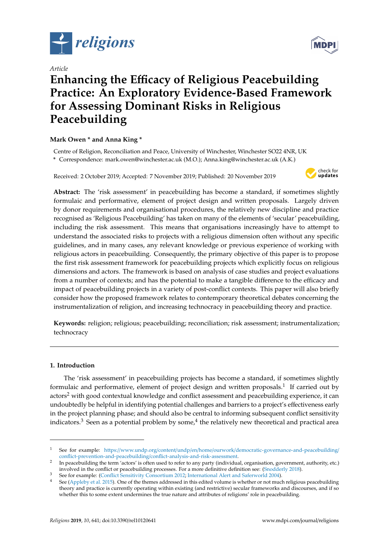

*Article*

# **Enhancing the E**ffi**cacy of Religious Peacebuilding Practice: An Exploratory Evidence-Based Framework for Assessing Dominant Risks in Religious Peacebuilding**

# **Mark Owen \* and Anna King \***

Centre of Religion, Reconciliation and Peace, University of Winchester, Winchester SO22 4NR, UK **\*** Correspondence: mark.owen@winchester.ac.uk (M.O.); Anna.king@winchester.ac.uk (A.K.)

Received: 2 October 2019; Accepted: 7 November 2019; Published: 20 November 2019



**Abstract:** The 'risk assessment' in peacebuilding has become a standard, if sometimes slightly formulaic and performative, element of project design and written proposals. Largely driven by donor requirements and organisational procedures, the relatively new discipline and practice recognised as 'Religious Peacebuilding' has taken on many of the elements of 'secular' peacebuilding, including the risk assessment. This means that organisations increasingly have to attempt to understand the associated risks to projects with a religious dimension often without any specific guidelines, and in many cases, any relevant knowledge or previous experience of working with religious actors in peacebuilding. Consequently, the primary objective of this paper is to propose the first risk assessment framework for peacebuilding projects which explicitly focus on religious dimensions and actors. The framework is based on analysis of case studies and project evaluations from a number of contexts; and has the potential to make a tangible difference to the efficacy and impact of peacebuilding projects in a variety of post-conflict contexts. This paper will also briefly consider how the proposed framework relates to contemporary theoretical debates concerning the instrumentalization of religion, and increasing technocracy in peacebuilding theory and practice.

**Keywords:** religion; religious; peacebuilding; reconciliation; risk assessment; instrumentalization; technocracy

# **1. Introduction**

The 'risk assessment' in peacebuilding projects has become a standard, if sometimes slightly formulaic and performative, element of project design and written proposals.<sup>1</sup> If carried out by actors<sup>2</sup> with good contextual knowledge and conflict assessment and peacebuilding experience, it can undoubtedly be helpful in identifying potential challenges and barriers to a project's effectiveness early in the project planning phase; and should also be central to informing subsequent conflict sensitivity indicators. $^3$  Seen as a potential problem by some, $^4$  the relatively new theoretical and practical area



<sup>1</sup> See for example: https://www.undp.org/content/undp/en/home/ourwork/[democratic-governance-and-peacebuilding](https://www.undp.org/content/undp/en/home/ourwork/democratic-governance-and-peacebuilding/conflict-prevention-and-peacebuilding/conflict-analysis-and-risk-assessment)/ [conflict-prevention-and-peacebuilding](https://www.undp.org/content/undp/en/home/ourwork/democratic-governance-and-peacebuilding/conflict-prevention-and-peacebuilding/conflict-analysis-and-risk-assessment)/conflict-analysis-and-risk-assessment.

In peacebuilding the term 'actors' is often used to refer to any party (individual, organisation, government, authority, etc.) involved in the conflict or peacebuilding processes. For a more definitive definition see: [\(Snodderly](#page-18-0) [2018\)](#page-18-0).

<sup>3</sup> See for example: [\(Conflict Sensitivity Consortium](#page-17-0) [2012;](#page-17-0) [International Alert and Saferworld](#page-17-1) [2004\)](#page-17-1).

See [\(Appleby et al.](#page-16-0) [2015\)](#page-16-0). One of the themes addressed in this edited volume is whether or not much religious peacebuilding theory and practice is currently operating within existing (and restrictive) secular frameworks and discourses, and if so whether this to some extent undermines the true nature and attributes of religions' role in peacebuilding.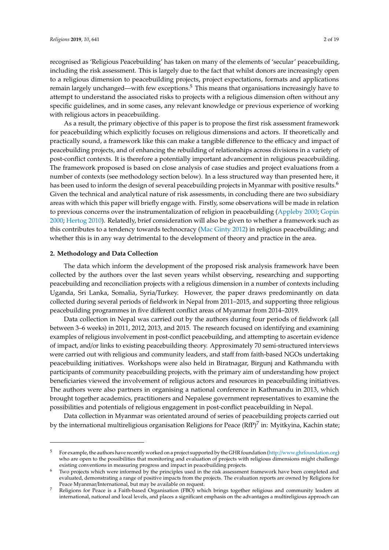recognised as 'Religious Peacebuilding' has taken on many of the elements of 'secular' peacebuilding, including the risk assessment. This is largely due to the fact that whilst donors are increasingly open to a religious dimension to peacebuilding projects, project expectations, formats and applications remain largely unchanged—with few exceptions.<sup>5</sup> This means that organisations increasingly have to attempt to understand the associated risks to projects with a religious dimension often without any specific guidelines, and in some cases, any relevant knowledge or previous experience of working with religious actors in peacebuilding.

As a result, the primary objective of this paper is to propose the first risk assessment framework for peacebuilding which explicitly focuses on religious dimensions and actors. If theoretically and practically sound, a framework like this can make a tangible difference to the efficacy and impact of peacebuilding projects, and of enhancing the rebuilding of relationships across divisions in a variety of post-conflict contexts. It is therefore a potentially important advancement in religious peacebuilding. The framework proposed is based on close analysis of case studies and project evaluations from a number of contexts (see methodology section below). In a less structured way than presented here, it has been used to inform the design of several peacebuilding projects in Myanmar with positive results.<sup>6</sup> Given the technical and analytical nature of risk assessments, in concluding there are two subsidiary areas with which this paper will briefly engage with. Firstly, some observations will be made in relation to previous concerns over the instrumentalization of religion in peacebuilding [\(Appleby](#page-16-1) [2000;](#page-16-1) [Gopin](#page-17-2) [2000;](#page-17-2) [Hertog](#page-17-3) [2010\)](#page-17-3). Relatedly, brief consideration will also be given to whether a framework such as this contributes to a tendency towards technocracy [\(Mac Ginty](#page-17-4) [2012\)](#page-17-4) in religious peacebuilding; and whether this is in any way detrimental to the development of theory and practice in the area.

#### **2. Methodology and Data Collection**

The data which inform the development of the proposed risk analysis framework have been collected by the authors over the last seven years whilst observing, researching and supporting peacebuilding and reconciliation projects with a religious dimension in a number of contexts including Uganda, Sri Lanka, Somalia, Syria/Turkey. However, the paper draws predominantly on data collected during several periods of fieldwork in Nepal from 2011–2015, and supporting three religious peacebuilding programmes in five different conflict areas of Myanmar from 2014–2019.

Data collection in Nepal was carried out by the authors during four periods of fieldwork (all between 3–6 weeks) in 2011, 2012, 2013, and 2015. The research focused on identifying and examining examples of religious involvement in post-conflict peacebuilding, and attempting to ascertain evidence of impact, and/or links to existing peacebuilding theory. Approximately 70 semi-structured interviews were carried out with religious and community leaders, and staff from faith-based NGOs undertaking peacebuilding initiatives. Workshops were also held in Biratnagar, Birgunj and Kathmandu with participants of community peacebuilding projects, with the primary aim of understanding how project beneficiaries viewed the involvement of religious actors and resources in peacebuilding initiatives. The authors were also partners in organising a national conference in Kathmandu in 2013, which brought together academics, practitioners and Nepalese government representatives to examine the possibilities and potentials of religious engagement in post-conflict peacebuilding in Nepal.

Data collection in Myanmar was orientated around of series of peacebuilding projects carried out by the international multireligious organisation Religions for Peace (RfP) $^7$  in: Myitkyina, Kachin state;

<sup>5</sup> For example, the authors have recently worked on a project supported by the GHR foundation (http://[www.ghrfoundation.org\)](http://www.ghrfoundation.org) who are open to the possibilities that monitoring and evaluation of projects with religious dimensions might challenge existing conventions in measuring progress and impact in peacebuilding projects.

Two projects which were informed by the principles used in the risk assessment framework have been completed and evaluated, demonstrating a range of positive impacts from the projects. The evaluation reports are owned by Religions for Peace Myanmar/International, but may be available on request.

<sup>7</sup> Religions for Peace is a Faith-based Organisation (FBO) which brings together religious and community leaders at international, national and local levels, and places a significant emphasis on the advantages a multireligious approach can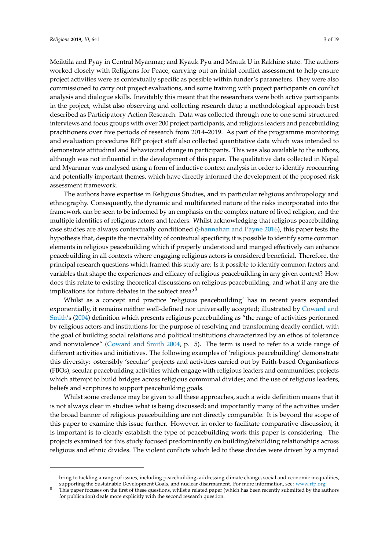Meiktila and Pyay in Central Myanmar; and Kyauk Pyu and Mrauk U in Rakhine state. The authors worked closely with Religions for Peace, carrying out an initial conflict assessment to help ensure project activities were as contextually specific as possible within funder's parameters. They were also commissioned to carry out project evaluations, and some training with project participants on conflict analysis and dialogue skills. Inevitably this meant that the researchers were both active participants in the project, whilst also observing and collecting research data; a methodological approach best described as Participatory Action Research. Data was collected through one to one semi-structured interviews and focus groups with over 200 project participants, and religious leaders and peacebuilding practitioners over five periods of research from 2014–2019. As part of the programme monitoring and evaluation procedures RfP project staff also collected quantitative data which was intended to demonstrate attitudinal and behavioural change in participants. This was also available to the authors, although was not influential in the development of this paper. The qualitative data collected in Nepal and Myanmar was analysed using a form of inductive context analysis in order to identify reoccurring and potentially important themes, which have directly informed the development of the proposed risk assessment framework.

The authors have expertise in Religious Studies, and in particular religious anthropology and ethnography. Consequently, the dynamic and multifaceted nature of the risks incorporated into the framework can be seen to be informed by an emphasis on the complex nature of lived religion, and the multiple identities of religious actors and leaders. Whilst acknowledging that religious peacebuilding case studies are always contextually conditioned [\(Shannahan and Payne](#page-18-1) [2016\)](#page-18-1), this paper tests the hypothesis that, despite the inevitability of contextual specificity, it is possible to identify some common elements in religious peacebuilding which if properly understood and manged effectively can enhance peacebuilding in all contexts where engaging religious actors is considered beneficial. Therefore, the principal research questions which framed this study are: Is it possible to identify common factors and variables that shape the experiences and efficacy of religious peacebuilding in any given context? How does this relate to existing theoretical discussions on religious peacebuilding, and what if any are the implications for future debates in the subject area? $8<sup>8</sup>$ 

Whilst as a concept and practice 'religious peacebuilding' has in recent years expanded exponentially, it remains neither well-defined nor universally accepted; illustrated by [Coward and](#page-17-5) [Smith'](#page-17-5)s [\(2004\)](#page-17-5) definition which presents religious peacebuilding as "the range of activities performed by religious actors and institutions for the purpose of resolving and transforming deadly conflict, with the goal of building social relations and political institutions characterized by an ethos of tolerance and nonviolence" [\(Coward and Smith](#page-17-5) [2004,](#page-17-5) p. 5). The term is used to refer to a wide range of different activities and initiatives. The following examples of 'religious peacebuilding' demonstrate this diversity: ostensibly 'secular' projects and activities carried out by Faith-based Organisations (FBOs); secular peacebuilding activities which engage with religious leaders and communities; projects which attempt to build bridges across religious communal divides; and the use of religious leaders, beliefs and scriptures to support peacebuilding goals.

Whilst some credence may be given to all these approaches, such a wide definition means that it is not always clear in studies what is being discussed; and importantly many of the activities under the broad banner of religious peacebuilding are not directly comparable. It is beyond the scope of this paper to examine this issue further. However, in order to facilitate comparative discussion, it is important is to clearly establish the type of peacebuilding work this paper is considering. The projects examined for this study focused predominantly on building/rebuilding relationships across religious and ethnic divides. The violent conflicts which led to these divides were driven by a myriad

bring to tackling a range of issues, including peacebuilding, addressing climate change, social and economic inequalities, supporting the Sustainable Development Goals, and nuclear disarmament. For more information, see: [www.rfp.org.](www.rfp.org)

This paper focuses on the first of these questions, whilst a related paper (which has been recently submitted by the authors for publication) deals more explicitly with the second research question.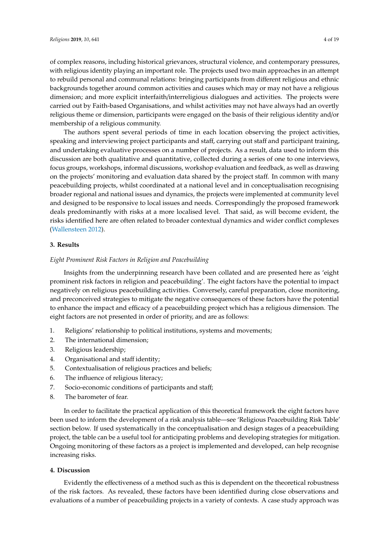of complex reasons, including historical grievances, structural violence, and contemporary pressures, with religious identity playing an important role. The projects used two main approaches in an attempt to rebuild personal and communal relations: bringing participants from different religious and ethnic backgrounds together around common activities and causes which may or may not have a religious dimension; and more explicit interfaith/interreligious dialogues and activities. The projects were carried out by Faith-based Organisations, and whilst activities may not have always had an overtly religious theme or dimension, participants were engaged on the basis of their religious identity and/or membership of a religious community.

The authors spent several periods of time in each location observing the project activities, speaking and interviewing project participants and staff, carrying out staff and participant training, and undertaking evaluative processes on a number of projects. As a result, data used to inform this discussion are both qualitative and quantitative, collected during a series of one to one interviews, focus groups, workshops, informal discussions, workshop evaluation and feedback, as well as drawing on the projects' monitoring and evaluation data shared by the project staff. In common with many peacebuilding projects, whilst coordinated at a national level and in conceptualisation recognising broader regional and national issues and dynamics, the projects were implemented at community level and designed to be responsive to local issues and needs. Correspondingly the proposed framework deals predominantly with risks at a more localised level. That said, as will become evident, the risks identified here are often related to broader contextual dynamics and wider conflict complexes [\(Wallensteen](#page-18-2) [2012\)](#page-18-2).

## **3. Results**

## *Eight Prominent Risk Factors in Religion and Peacebuilding*

Insights from the underpinning research have been collated and are presented here as 'eight prominent risk factors in religion and peacebuilding'. The eight factors have the potential to impact negatively on religious peacebuilding activities. Conversely, careful preparation, close monitoring, and preconceived strategies to mitigate the negative consequences of these factors have the potential to enhance the impact and efficacy of a peacebuilding project which has a religious dimension. The eight factors are not presented in order of priority, and are as follows:

- 1. Religions' relationship to political institutions, systems and movements;
- 2. The international dimension;
- 3. Religious leadership;
- 4. Organisational and staff identity;
- 5. Contextualisation of religious practices and beliefs;
- 6. The influence of religious literacy;
- 7. Socio-economic conditions of participants and staff;
- 8. The barometer of fear.

In order to facilitate the practical application of this theoretical framework the eight factors have been used to inform the development of a risk analysis table—see 'Religious Peacebuilding Risk Table' section below. If used systematically in the conceptualisation and design stages of a peacebuilding project, the table can be a useful tool for anticipating problems and developing strategies for mitigation. Ongoing monitoring of these factors as a project is implemented and developed, can help recognise increasing risks.

## **4. Discussion**

Evidently the effectiveness of a method such as this is dependent on the theoretical robustness of the risk factors. As revealed, these factors have been identified during close observations and evaluations of a number of peacebuilding projects in a variety of contexts. A case study approach was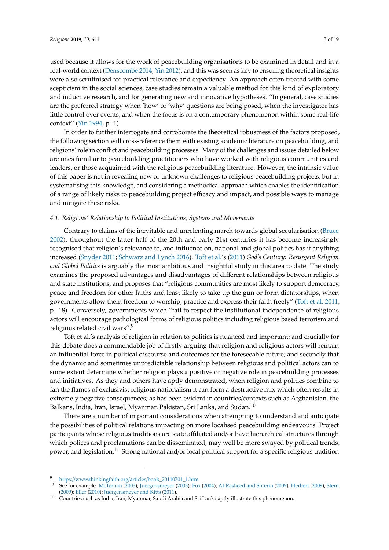used because it allows for the work of peacebuilding organisations to be examined in detail and in a real-world context [\(Denscombe](#page-17-6) [2014;](#page-17-6) [Yin](#page-18-3) [2012\)](#page-18-3); and this was seen as key to ensuring theoretical insights were also scrutinised for practical relevance and expediency. An approach often treated with some scepticism in the social sciences, case studies remain a valuable method for this kind of exploratory and inductive research, and for generating new and innovative hypotheses. "In general, case studies are the preferred strategy when 'how' or 'why' questions are being posed, when the investigator has little control over events, and when the focus is on a contemporary phenomenon within some real-life context" [\(Yin](#page-18-4) [1994,](#page-18-4) p. 1).

In order to further interrogate and corroborate the theoretical robustness of the factors proposed, the following section will cross-reference them with existing academic literature on peacebuilding, and religions' role in conflict and peacebuilding processes. Many of the challenges and issues detailed below are ones familiar to peacebuilding practitioners who have worked with religious communities and leaders, or those acquainted with the religious peacebuilding literature. However, the intrinsic value of this paper is not in revealing new or unknown challenges to religious peacebuilding projects, but in systematising this knowledge, and considering a methodical approach which enables the identification of a range of likely risks to peacebuilding project efficacy and impact, and possible ways to manage and mitigate these risks.

#### *4.1. Religions' Relationship to Political Institutions, Systems and Movements*

Contrary to claims of the inevitable and unrelenting march towards global secularisation [\(Bruce](#page-17-7) [2002\)](#page-17-7), throughout the latter half of the 20th and early 21st centuries it has become increasingly recognised that religion's relevance to, and influence on, national and global politics has if anything increased [\(Snyder](#page-18-5) [2011;](#page-18-5) [Schwarz and Lynch](#page-18-6) [2016\)](#page-18-6). [Toft et al.'](#page-18-7)s [\(2011\)](#page-18-7) *God's Century: Resurgent Religion and Global Politics* is arguably the most ambitious and insightful study in this area to date. The study examines the proposed advantages and disadvantages of different relationships between religious and state institutions, and proposes that "religious communities are most likely to support democracy, peace and freedom for other faiths and least likely to take up the gun or form dictatorships, when governments allow them freedom to worship, practice and express their faith freely" [\(Toft et al.](#page-18-7) [2011,](#page-18-7) p. 18). Conversely, governments which "fail to respect the institutional independence of religious actors will encourage pathological forms of religious politics including religious based terrorism and religious related civil wars".<sup>9</sup>

Toft et al.'s analysis of religion in relation to politics is nuanced and important; and crucially for this debate does a commendable job of firstly arguing that religion and religious actors will remain an influential force in political discourse and outcomes for the foreseeable future; and secondly that the dynamic and sometimes unpredictable relationship between religious and political actors can to some extent determine whether religion plays a positive or negative role in peacebuilding processes and initiatives. As they and others have aptly demonstrated, when religion and politics combine to fan the flames of exclusivist religious nationalism it can form a destructive mix which often results in extremely negative consequences; as has been evident in countries/contexts such as Afghanistan, the Balkans, India, Iran, Israel, Myanmar, Pakistan, Sri Lanka, and Sudan.<sup>10</sup>

There are a number of important considerations when attempting to understand and anticipate the possibilities of political relations impacting on more localised peacebuilding endeavours. Project participants whose religious traditions are state affiliated and/or have hierarchical structures through which polices and proclamations can be disseminated, may well be more swayed by political trends, power, and legislation.<sup>11</sup> Strong national and/or local political support for a specific religious tradition

<sup>9</sup> https://[www.thinkingfaith.org](https://www.thinkingfaith.org/articles/book_20110701_1.htm)/articles/book\_20110701\_1.htm.<br>10 See for event le MaTamer (2002); Isomonomeyer (2002); Ees

<sup>10</sup> See for example: [McTernan](#page-17-8) [\(2003\)](#page-17-8); [Juergensmeyer](#page-17-9) [\(2003\)](#page-17-9); [Fox](#page-17-10) [\(2004\)](#page-17-10); [Al-Rasheed and Shterin](#page-16-2) [\(2009\)](#page-16-2); [Herbert](#page-17-11) [\(2009\)](#page-17-11); [Stern](#page-18-8) [\(2009\)](#page-18-8); [Eller](#page-17-12) [\(2010\)](#page-17-12); [Juergensmeyer and Kitts](#page-17-13) [\(2011\)](#page-17-13).

<sup>11</sup> Countries such as India, Iran, Myanmar, Saudi Arabia and Sri Lanka aptly illustrate this phenomenon.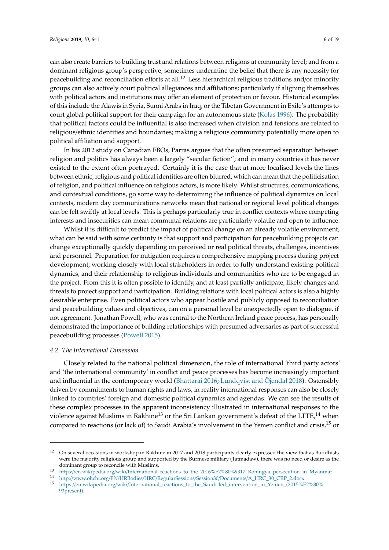can also create barriers to building trust and relations between religions at community level; and from a dominant religious group's perspective, sometimes undermine the belief that there is any necessity for peacebuilding and reconciliation efforts at all.<sup>12</sup> Less hierarchical religious traditions and/or minority groups can also actively court political allegiances and affiliations; particularly if aligning themselves with political actors and institutions may offer an element of protection or favour. Historical examples of this include the Alawis in Syria, Sunni Arabs in Iraq, or the Tibetan Government in Exile's attempts to court global political support for their campaign for an autonomous state [\(Kolas](#page-17-14) [1996\)](#page-17-14). The probability that political factors could be influential is also increased when division and tensions are related to religious/ethnic identities and boundaries; making a religious community potentially more open to political affiliation and support.

In his 2012 study on Canadian FBOs, Parras argues that the often presumed separation between religion and politics has always been a largely "secular fiction"; and in many countries it has never existed to the extent often portrayed. Certainly it is the case that at more localised levels the lines between ethnic, religious and political identities are often blurred, which can mean that the politicisation of religion, and political influence on religious actors, is more likely. Whilst structures, communications, and contextual conditions, go some way to determining the influence of political dynamics on local contexts, modern day communications networks mean that national or regional level political changes can be felt swiftly at local levels. This is perhaps particularly true in conflict contexts where competing interests and insecurities can mean communal relations are particularly volatile and open to influence.

Whilst it is difficult to predict the impact of political change on an already volatile environment, what can be said with some certainty is that support and participation for peacebuilding projects can change exceptionally quickly depending on perceived or real political threats, challenges, incentives and personnel. Preparation for mitigation requires a comprehensive mapping process during project development; working closely with local stakeholders in order to fully understand existing political dynamics, and their relationship to religious individuals and communities who are to be engaged in the project. From this it is often possible to identify, and at least partially anticipate, likely changes and threats to project support and participation. Building relations with local political actors is also a highly desirable enterprise. Even political actors who appear hostile and publicly opposed to reconciliation and peacebuilding values and objectives, can on a personal level be unexpectedly open to dialogue, if not agreement. Jonathan Powell, who was central to the Northern Ireland peace process, has personally demonstrated the importance of building relationships with presumed adversaries as part of successful peacebuilding processes [\(Powell](#page-18-9) [2015\)](#page-18-9).

#### *4.2. The International Dimension*

Closely related to the national political dimension, the role of international 'third party actors' and 'the international community' in conflict and peace processes has become increasingly important and influential in the contemporary world [\(Bhattarai](#page-17-15) [2016;](#page-17-15) [Lundqvist and Öjendal](#page-17-16) [2018\)](#page-17-16). Ostensibly driven by commitments to human rights and laws, in reality international responses can also be closely linked to countries' foreign and domestic political dynamics and agendas. We can see the results of these complex processes in the apparent inconsistency illustrated in international responses to the violence against Muslims in Rakhine<sup>13</sup> or the Sri Lankan government's defeat of the LTTE,<sup>14</sup> when compared to reactions (or lack of) to Saudi Arabia's involvement in the Yemen conflict and crisis,<sup>15</sup> or

 $12$  On several occasions in workshop in Rakhine in 2017 and 2018 participants clearly expressed the view that as Buddhists were the majority religious group and supported by the Burmese military (Tatmadaw), there was no need or desire as the dominant group to reconcile with Muslims.

<sup>13</sup> https://en.wikipedia.org/wiki/[International\\_reactions\\_to\\_the\\_2016%E2%80%9317\\_Rohingya\\_persecution\\_in\\_Myanmar.](https://en.wikipedia.org/wiki/International_reactions_to_the_2016%E2%80%9317_Rohingya_persecution_in_Myanmar)

<sup>14</sup> http://www.ohchr.org/EN/HRBodies/HRC/RegularSessions/Session30/Documents/[A\\_HRC\\_30\\_CRP\\_2.docx.](http://www.ohchr.org/EN/HRBodies/HRC/RegularSessions/Session30/Documents/A_HRC_30_CRP_2.docx)

<sup>15</sup> https://en.wikipedia.org/wiki/[International\\_reactions\\_to\\_the\\_Saudi-led\\_intervention\\_in\\_Yemen\\_\(2015%E2%80%](https://en.wikipedia.org/wiki/International_reactions_to_the_Saudi-led_intervention_in_Yemen_(2015%E2%80%93present)) [93present\).](https://en.wikipedia.org/wiki/International_reactions_to_the_Saudi-led_intervention_in_Yemen_(2015%E2%80%93present))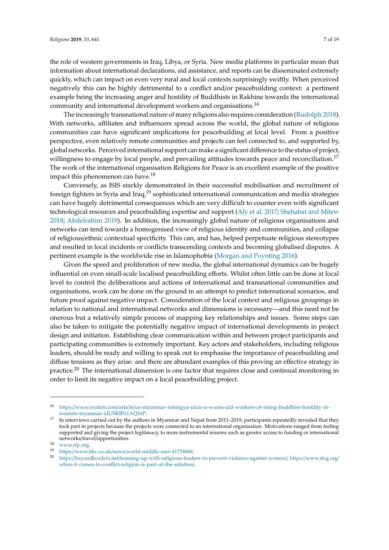the role of western governments in Iraq, Libya, or Syria. New media platforms in particular mean that information about international declarations, aid assistance, and reports can be disseminated extremely quickly, which can impact on even very rural and local contexts surprisingly swiftly. When perceived negatively this can be highly detrimental to a conflict and/or peacebuilding context: a pertinent example being the increasing anger and hostility of Buddhists in Rakhine towards the international community and international development workers and organisations.<sup>16</sup>

The increasingly transnational nature of many religions also requires consideration [\(Rudolph](#page-18-10) [2018\)](#page-18-10). With networks, affiliates and influencers spread across the world, the global nature of religious communities can have significant implications for peacebuilding at local level. From a positive perspective, even relatively remote communities and projects can feel connected to, and supported by, global networks. Perceived international support can make a significant difference to the status of project, willingness to engage by local people, and prevailing attitudes towards peace and reconciliation.<sup>17</sup> The work of the international organisation Religions for Peace is an excellent example of the positive impact this phenomenon can have.<sup>18</sup>

Conversely, as ISIS starkly demonstrated in their successful mobilisation and recruitment of foreign fighters in Syria and Iraq,<sup>19</sup> sophisticated international communication and media strategies can have hugely detrimental consequences which are very difficult to counter even with significant technological resources and peacebuilding expertise and support [\(Aly et al.](#page-16-3) [2017;](#page-16-3) [Shehabat and Mitew](#page-18-11) [2018;](#page-18-11) [Abdelrahim](#page-16-4) [2019\)](#page-16-4). In addition, the increasingly global nature of religious organisations and networks can tend towards a homogenised view of religious identity and communities, and collapse of religious/ethnic contextual specificity. This can, and has, helped perpetuate religious stereotypes and resulted in local incidents or conflicts transcending contexts and becoming globalised disputes. A pertinent example is the worldwide rise in Islamophobia [\(Morgan and Poynting](#page-17-17) [2016\)](#page-17-17).

Given the speed and proliferation of new media, the global international dynamics can be hugely influential on even small-scale localised peacebuilding efforts. Whilst often little can be done at local level to control the deliberations and actions of international and transnational communities and organisations, work can be done on the ground in an attempt to predict international scenarios, and future proof against negative impact. Consideration of the local context and religious groupings in relation to national and international networks and dimensions is necessary—and this need not be onerous but a relatively simple process of mapping key relationships and issues. Some steps can also be taken to mitigate the potentially negative impact of international developments in project design and initiation. Establishing clear communication within and between project participants and participating communities is extremely important. Key actors and stakeholders, including religious leaders, should be ready and willing to speak out to emphasise the importance of peacebuilding and diffuse tensions as they arise: and there are abundant examples of this proving an effective strategy in practice.<sup>20</sup> The international dimension is one factor that requires close and continual monitoring in order to limit its negative impact on a local peacebuilding project.

<sup>16</sup> https://www.reuters.com/article/us-myanmar-rohingya-un/[u-n-warns-aid-workers-of-rising-buddhist-hostility-in](https://www.reuters.com/article/us-myanmar-rohingya-un/u-n-warns-aid-workers-of-rising-buddhist-hostility-in-western-myanmar-idUSKBN1AQ16P)[western-myanmar-idUSKBN1AQ16P.](https://www.reuters.com/article/us-myanmar-rohingya-un/u-n-warns-aid-workers-of-rising-buddhist-hostility-in-western-myanmar-idUSKBN1AQ16P)

<sup>&</sup>lt;sup>17</sup> In interviews carried out by the authors in Myanmar and Nepal from 2011–2019, participants repeatedly revealed that they took part in projects because the projects were connected to an international organisation. Motivations ranged from feeling supported and giving the project legitimacy, to more instrumental reasons such as greater access to funding or international networks/travel/opportunities.

 $\frac{18}{19}$  [www.rfp.org.](www.rfp.org)

<sup>&</sup>lt;sup>19</sup> https://www.bbc.co.uk/news/[world-middle-east-41734069.](https://www.bbc.co.uk/news/world-middle-east-41734069)<br><sup>20</sup> https://havenallaatanaart/teamine.organithanisiers.co.d

<sup>20</sup> https://beyondborders.net/[teaming-up-with-religious-leaders-to-prevent-violence-against-women](https://beyondborders.net/teaming-up-with-religious-leaders-to-prevent-violence-against-women/)/; https://[www.sfcg.org](https://www.sfcg.org/when-it-comes-to-conflict-religion-is-part-of-the-solution/)/ [when-it-comes-to-conflict-religion-is-part-of-the-solution](https://www.sfcg.org/when-it-comes-to-conflict-religion-is-part-of-the-solution/)/.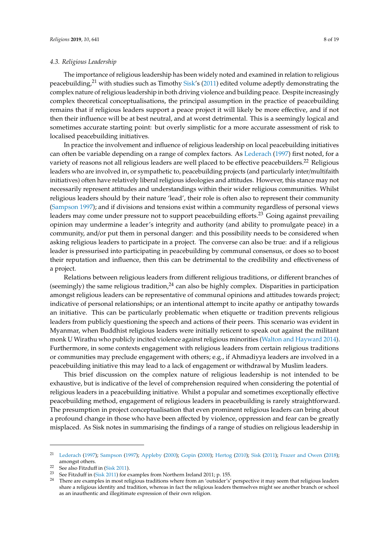#### *4.3. Religious Leadership*

The importance of religious leadership has been widely noted and examined in relation to religious peacebuilding,<sup>21</sup> with studies such as Timothy [Sisk'](#page-18-12)s [\(2011\)](#page-18-12) edited volume adeptly demonstrating the complex nature of religious leadership in both driving violence and building peace. Despite increasingly complex theoretical conceptualisations, the principal assumption in the practice of peacebuilding remains that if religious leaders support a peace project it will likely be more effective, and if not then their influence will be at best neutral, and at worst detrimental. This is a seemingly logical and sometimes accurate starting point: but overly simplistic for a more accurate assessment of risk to localised peacebuilding initiatives.

In practice the involvement and influence of religious leadership on local peacebuilding initiatives can often be variable depending on a range of complex factors. As [Lederach](#page-17-18) [\(1997\)](#page-17-18) first noted, for a variety of reasons not all religious leaders are well placed to be effective peacebuilders.<sup>22</sup> Religious leaders who are involved in, or sympathetic to, peacebuilding projects (and particularly inter/multifaith initiatives) often have relatively liberal religious ideologies and attitudes. However, this stance may not necessarily represent attitudes and understandings within their wider religious communities. Whilst religious leaders should by their nature 'lead', their role is often also to represent their community [\(Sampson](#page-18-13) [1997\)](#page-18-13); and if divisions and tensions exist within a community regardless of personal views leaders may come under pressure not to support peacebuilding efforts.<sup>23</sup> Going against prevailing opinion may undermine a leader's integrity and authority (and ability to promulgate peace) in a community, and/or put them in personal danger: and this possibility needs to be considered when asking religious leaders to participate in a project. The converse can also be true: and if a religious leader is pressurised into participating in peacebuilding by communal consensus, or does so to boost their reputation and influence, then this can be detrimental to the credibility and effectiveness of a project.

Relations between religious leaders from different religious traditions, or different branches of (seemingly) the same religious tradition, $24$  can also be highly complex. Disparities in participation amongst religious leaders can be representative of communal opinions and attitudes towards project; indicative of personal relationships; or an intentional attempt to incite apathy or antipathy towards an initiative. This can be particularly problematic when etiquette or tradition prevents religious leaders from publicly questioning the speech and actions of their peers. This scenario was evident in Myanmar, when Buddhist religious leaders were initially reticent to speak out against the militant monk U Wirathu who publicly incited violence against religious minorities [\(Walton and Hayward](#page-18-14) [2014\)](#page-18-14). Furthermore, in some contexts engagement with religious leaders from certain religious traditions or communities may preclude engagement with others; e.g., if Ahmadiyya leaders are involved in a peacebuilding initiative this may lead to a lack of engagement or withdrawal by Muslim leaders.

This brief discussion on the complex nature of religious leadership is not intended to be exhaustive, but is indicative of the level of comprehension required when considering the potential of religious leaders in a peacebuilding initiative. Whilst a popular and sometimes exceptionally effective peacebuilding method, engagement of religious leaders in peacebuilding is rarely straightforward. The presumption in project conceptualisation that even prominent religious leaders can bring about a profound change in those who have been affected by violence, oppression and fear can be greatly misplaced. As Sisk notes in summarising the findings of a range of studies on religious leadership in

<sup>21</sup> [Lederach](#page-17-18) [\(1997\)](#page-17-18); [Sampson](#page-18-13) [\(1997\)](#page-18-13); [Appleby](#page-16-1) [\(2000\)](#page-16-1); [Gopin](#page-17-2) [\(2000\)](#page-17-2); [Hertog](#page-17-3) [\(2010\)](#page-17-3); [Sisk](#page-18-12) [\(2011\)](#page-18-12); [Frazer and Owen](#page-17-19) [\(2018\)](#page-17-19); amongst others.

 $22$  See also Fitzduff in [\(Sisk](#page-18-12) [2011\)](#page-18-12).

<sup>&</sup>lt;sup>23</sup> See Fitzduff in [\(Sisk](#page-18-12) [2011\)](#page-18-12) for examples from Northern Ireland 2011; p. 155.

<sup>&</sup>lt;sup>24</sup> There are examples in most religious traditions where from an 'outsider's' perspective it may seem that religious leaders share a religious identity and tradition, whereas in fact the religious leaders themselves might see another branch or school as an inauthentic and illegitimate expression of their own religion.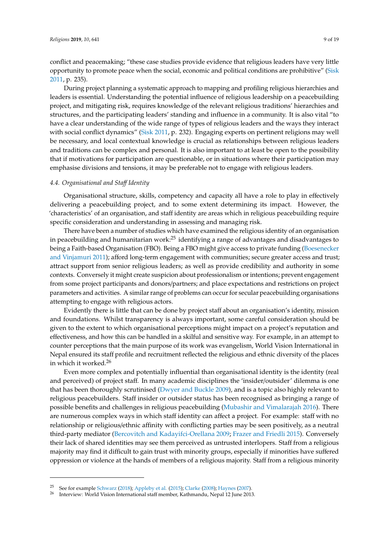conflict and peacemaking; "these case studies provide evidence that religious leaders have very little opportunity to promote peace when the social, economic and political conditions are prohibitive" [\(Sisk](#page-18-12) [2011,](#page-18-12) p. 235).

During project planning a systematic approach to mapping and profiling religious hierarchies and leaders is essential. Understanding the potential influence of religious leadership on a peacebuilding project, and mitigating risk, requires knowledge of the relevant religious traditions' hierarchies and structures, and the participating leaders' standing and influence in a community. It is also vital "to have a clear understanding of the wide range of types of religious leaders and the ways they interact with social conflict dynamics" [\(Sisk](#page-18-12) [2011,](#page-18-12) p. 232). Engaging experts on pertinent religions may well be necessary, and local contextual knowledge is crucial as relationships between religious leaders and traditions can be complex and personal. It is also important to at least be open to the possibility that if motivations for participation are questionable, or in situations where their participation may emphasise divisions and tensions, it may be preferable not to engage with religious leaders.

#### *4.4. Organisational and Sta*ff *Identity*

Organisational structure, skills, competency and capacity all have a role to play in effectively delivering a peacebuilding project, and to some extent determining its impact. However, the 'characteristics' of an organisation, and staff identity are areas which in religious peacebuilding require specific consideration and understanding in assessing and managing risk.

There have been a number of studies which have examined the religious identity of an organisation in peacebuilding and humanitarian work:<sup>25</sup> identifying a range of advantages and disadvantages to being a Faith-based Organisation (FBO). Being a FBO might give access to private funding [\(Boesenecker](#page-17-20) [and Vinjamuri](#page-17-20) [2011\)](#page-17-20); afford long-term engagement with communities; secure greater access and trust; attract support from senior religious leaders; as well as provide credibility and authority in some contexts. Conversely it might create suspicion about professionalism or intentions; prevent engagement from some project participants and donors/partners; and place expectations and restrictions on project parameters and activities. A similar range of problems can occur for secular peacebuilding organisations attempting to engage with religious actors.

Evidently there is little that can be done by project staff about an organisation's identity, mission and foundations. Whilst transparency is always important, some careful consideration should be given to the extent to which organisational perceptions might impact on a project's reputation and effectiveness, and how this can be handled in a skilful and sensitive way. For example, in an attempt to counter perceptions that the main purpose of its work was evangelism, World Vision International in Nepal ensured its staff profile and recruitment reflected the religious and ethnic diversity of the places in which it worked.<sup>26</sup>

Even more complex and potentially influential than organisational identity is the identity (real and perceived) of project staff. In many academic disciplines the 'insider/outsider' dilemma is one that has been thoroughly scrutinised [\(Dwyer and Buckle](#page-17-21) [2009\)](#page-17-21), and is a topic also highly relevant to religious peacebuilders. Staff insider or outsider status has been recognised as bringing a range of possible benefits and challenges in religious peacebuilding [\(Mubashir and Vimalarajah](#page-18-15) [2016\)](#page-18-15). There are numerous complex ways in which staff identity can affect a project. For example: staff with no relationship or religious/ethnic affinity with conflicting parties may be seen positively, as a neutral third-party mediator [\(Bercovitch and Kadayifci-Orellana](#page-16-5) [2009;](#page-16-5) [Frazer and Friedli](#page-17-22) [2015\)](#page-17-22). Conversely their lack of shared identities may see them perceived as untrusted interlopers. Staff from a religious majority may find it difficult to gain trust with minority groups, especially if minorities have suffered oppression or violence at the hands of members of a religious majority. Staff from a religious minority

<sup>&</sup>lt;sup>25</sup> See for example [Schwarz](#page-18-16) [\(2018\)](#page-18-16); [Appleby et al.](#page-16-0) [\(2015\)](#page-16-0); [Clarke](#page-17-23) [\(2008\)](#page-17-23); [Haynes](#page-17-24) [\(2007\)](#page-17-24).

<sup>26</sup> Interview: World Vision International staff member, Kathmandu, Nepal 12 June 2013.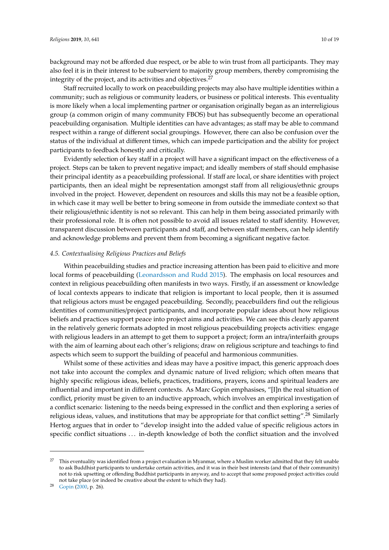background may not be afforded due respect, or be able to win trust from all participants. They may also feel it is in their interest to be subservient to majority group members, thereby compromising the integrity of the project, and its activities and objectives.<sup>27</sup>

Staff recruited locally to work on peacebuilding projects may also have multiple identities within a community; such as religious or community leaders, or business or political interests. This eventuality is more likely when a local implementing partner or organisation originally began as an interreligious group (a common origin of many community FBOS) but has subsequently become an operational peacebuilding organisation. Multiple identities can have advantages; as staff may be able to command respect within a range of different social groupings. However, there can also be confusion over the status of the individual at different times, which can impede participation and the ability for project participants to feedback honestly and critically.

Evidently selection of key staff in a project will have a significant impact on the effectiveness of a project. Steps can be taken to prevent negative impact; and ideally members of staff should emphasise their principal identity as a peacebuilding professional. If staff are local, or share identities with project participants, then an ideal might be representation amongst staff from all religious/ethnic groups involved in the project. However, dependent on resources and skills this may not be a feasible option, in which case it may well be better to bring someone in from outside the immediate context so that their religious/ethnic identity is not so relevant. This can help in them being associated primarily with their professional role. It is often not possible to avoid all issues related to staff identity. However, transparent discussion between participants and staff, and between staff members, can help identify and acknowledge problems and prevent them from becoming a significant negative factor.

#### *4.5. Contextualising Religious Practices and Beliefs*

Within peacebuilding studies and practice increasing attention has been paid to elicitive and more local forms of peacebuilding [\(Leonardsson and Rudd](#page-17-25) [2015\)](#page-17-25). The emphasis on local resources and context in religious peacebuilding often manifests in two ways. Firstly, if an assessment or knowledge of local contexts appears to indicate that religion is important to local people, then it is assumed that religious actors must be engaged peacebuilding. Secondly, peacebuilders find out the religious identities of communities/project participants, and incorporate popular ideas about how religious beliefs and practices support peace into project aims and activities. We can see this clearly apparent in the relatively generic formats adopted in most religious peacebuilding projects activities: engage with religious leaders in an attempt to get them to support a project; form an intra/interfaith groups with the aim of learning about each other's religions; draw on religious scripture and teachings to find aspects which seem to support the building of peaceful and harmonious communities.

Whilst some of these activities and ideas may have a positive impact, this generic approach does not take into account the complex and dynamic nature of lived religion; which often means that highly specific religious ideas, beliefs, practices, traditions, prayers, icons and spiritual leaders are influential and important in different contexts. As Marc Gopin emphasises, "[I]n the real situation of conflict, priority must be given to an inductive approach, which involves an empirical investigation of a conflict scenario: listening to the needs being expressed in the conflict and then exploring a series of religious ideas, values, and institutions that may be appropriate for that conflict setting".<sup>28</sup> Similarly Hertog argues that in order to "develop insight into the added value of specific religious actors in specific conflict situations . . . in-depth knowledge of both the conflict situation and the involved

<sup>&</sup>lt;sup>27</sup> This eventuality was identified from a project evaluation in Myanmar, where a Muslim worker admitted that they felt unable to ask Buddhist participants to undertake certain activities, and it was in their best interests (and that of their community) not to risk upsetting or offending Buddhist participants in anyway, and to accept that some proposed project activities could not take place (or indeed be creative about the extent to which they had).

<sup>28</sup> [Gopin](#page-17-2) [\(2000,](#page-17-2) p. 26).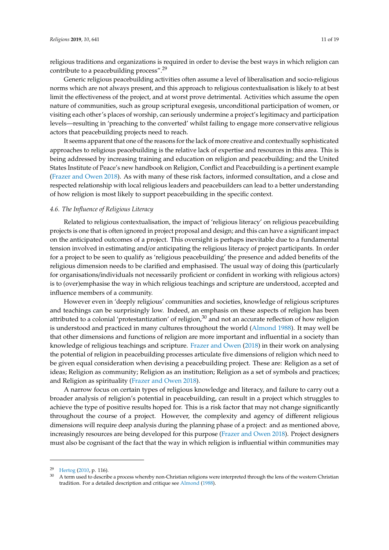religious traditions and organizations is required in order to devise the best ways in which religion can contribute to a peacebuilding process".<sup>29</sup>

Generic religious peacebuilding activities often assume a level of liberalisation and socio-religious norms which are not always present, and this approach to religious contextualisation is likely to at best limit the effectiveness of the project, and at worst prove detrimental. Activities which assume the open nature of communities, such as group scriptural exegesis, unconditional participation of women, or visiting each other's places of worship, can seriously undermine a project's legitimacy and participation levels—resulting in 'preaching to the converted' whilst failing to engage more conservative religious actors that peacebuilding projects need to reach.

It seems apparent that one of the reasons for the lack of more creative and contextually sophisticated approaches to religious peacebuilding is the relative lack of expertise and resources in this area. This is being addressed by increasing training and education on religion and peacebuilding; and the United States Institute of Peace's new handbook on Religion, Conflict and Peacebuilding is a pertinent example [\(Frazer and Owen](#page-17-19) [2018\)](#page-17-19). As with many of these risk factors, informed consultation, and a close and respected relationship with local religious leaders and peacebuilders can lead to a better understanding of how religion is most likely to support peacebuilding in the specific context.

#### *4.6. The Influence of Religious Literacy*

Related to religious contextualisation, the impact of 'religious literacy' on religious peacebuilding projects is one that is often ignored in project proposal and design; and this can have a significant impact on the anticipated outcomes of a project. This oversight is perhaps inevitable due to a fundamental tension involved in estimating and/or anticipating the religious literacy of project participants. In order for a project to be seen to qualify as 'religious peacebuilding' the presence and added benefits of the religious dimension needs to be clarified and emphasised. The usual way of doing this (particularly for organisations/individuals not necessarily proficient or confident in working with religious actors) is to (over)emphasise the way in which religious teachings and scripture are understood, accepted and influence members of a community.

However even in 'deeply religious' communities and societies, knowledge of religious scriptures and teachings can be surprisingly low. Indeed, an emphasis on these aspects of religion has been attributed to a colonial 'protestantization' of religion, $30$  and not an accurate reflection of how religion is understood and practiced in many cultures throughout the world [\(Almond](#page-16-6) [1988\)](#page-16-6). It may well be that other dimensions and functions of religion are more important and influential in a society than knowledge of religious teachings and scripture. [Frazer and Owen](#page-17-19) [\(2018\)](#page-17-19) in their work on analysing the potential of religion in peacebuilding processes articulate five dimensions of religion which need to be given equal consideration when devising a peacebuilding project. These are: Religion as a set of ideas; Religion as community; Religion as an institution; Religion as a set of symbols and practices; and Religion as spirituality [\(Frazer and Owen](#page-17-19) [2018\)](#page-17-19).

A narrow focus on certain types of religious knowledge and literacy, and failure to carry out a broader analysis of religion's potential in peacebuilding, can result in a project which struggles to achieve the type of positive results hoped for. This is a risk factor that may not change significantly throughout the course of a project. However, the complexity and agency of different religious dimensions will require deep analysis during the planning phase of a project: and as mentioned above, increasingly resources are being developed for this purpose [\(Frazer and Owen](#page-17-19) [2018\)](#page-17-19). Project designers must also be cognisant of the fact that the way in which religion is influential within communities may

 $\frac{29}{30}$  [Hertog](#page-17-3) [\(2010,](#page-17-3) p. 116).

<sup>30</sup> A term used to describe a process whereby non-Christian religions were interpreted through the lens of the western Christian tradition. For a detailed description and critique see [Almond](#page-16-6) [\(1988\)](#page-16-6).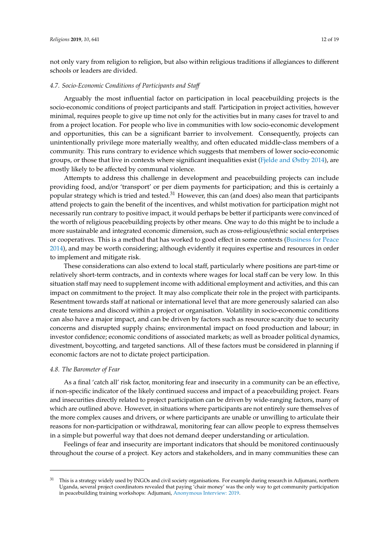not only vary from religion to religion, but also within religious traditions if allegiances to different schools or leaders are divided.

#### *4.7. Socio-Economic Conditions of Participants and Sta*ff

Arguably the most influential factor on participation in local peacebuilding projects is the socio-economic conditions of project participants and staff. Participation in project activities, however minimal, requires people to give up time not only for the activities but in many cases for travel to and from a project location. For people who live in communities with low socio-economic development and opportunities, this can be a significant barrier to involvement. Consequently, projects can unintentionally privilege more materially wealthy, and often educated middle-class members of a community. This runs contrary to evidence which suggests that members of lower socio-economic groups, or those that live in contexts where significant inequalities exist [\(Fjelde and Østby](#page-17-26) [2014\)](#page-17-26), are mostly likely to be affected by communal violence.

Attempts to address this challenge in development and peacebuilding projects can include providing food, and/or 'transport' or per diem payments for participation; and this is certainly a popular strategy which is tried and tested.<sup>31</sup> However, this can (and does) also mean that participants attend projects to gain the benefit of the incentives, and whilst motivation for participation might not necessarily run contrary to positive impact, it would perhaps be better if participants were convinced of the worth of religious peacebuilding projects by other means. One way to do this might be to include a more sustainable and integrated economic dimension, such as cross-religious/ethnic social enterprises or cooperatives. This is a method that has worked to good effect in some contexts [\(Business for Peace](#page-17-27) [2014\)](#page-17-27), and may be worth considering; although evidently it requires expertise and resources in order to implement and mitigate risk.

These considerations can also extend to local staff, particularly where positions are part-time or relatively short-term contracts, and in contexts where wages for local staff can be very low. In this situation staff may need to supplement income with additional employment and activities, and this can impact on commitment to the project. It may also complicate their role in the project with participants. Resentment towards staff at national or international level that are more generously salaried can also create tensions and discord within a project or organisation. Volatility in socio-economic conditions can also have a major impact, and can be driven by factors such as resource scarcity due to security concerns and disrupted supply chains; environmental impact on food production and labour; in investor confidence; economic conditions of associated markets; as well as broader political dynamics, divestment, boycotting, and targeted sanctions. All of these factors must be considered in planning if economic factors are not to dictate project participation.

#### *4.8. The Barometer of Fear*

As a final 'catch all' risk factor, monitoring fear and insecurity in a community can be an effective, if non-specific indicator of the likely continued success and impact of a peacebuilding project. Fears and insecurities directly related to project participation can be driven by wide-ranging factors, many of which are outlined above. However, in situations where participants are not entirely sure themselves of the more complex causes and drivers, or where participants are unable or unwilling to articulate their reasons for non-participation or withdrawal, monitoring fear can allow people to express themselves in a simple but powerful way that does not demand deeper understanding or articulation.

Feelings of fear and insecurity are important indicators that should be monitored continuously throughout the course of a project. Key actors and stakeholders, and in many communities these can

<sup>&</sup>lt;sup>31</sup> This is a strategy widely used by INGOs and civil society organisations. For example during research in Adjumani, northern Uganda, several project coordinators revealed that paying 'chair money' was the only way to get community participation in peacebuilding training workshops: Adjumani, [Anonymous Interview: 2019.](#page-16-7)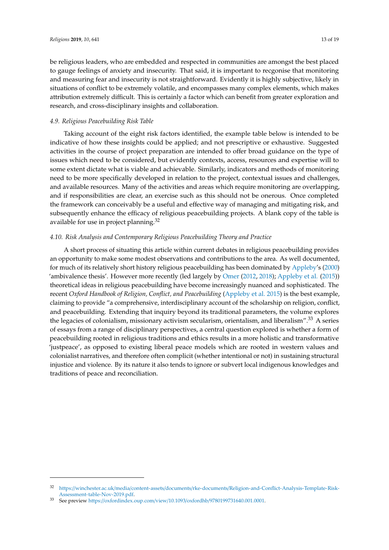be religious leaders, who are embedded and respected in communities are amongst the best placed to gauge feelings of anxiety and insecurity. That said, it is important to recgonise that monitoring and measuring fear and insecurity is not straightforward. Evidently it is highly subjective, likely in situations of conflict to be extremely volatile, and encompasses many complex elements, which makes attribution extremely difficult. This is certainly a factor which can benefit from greater exploration and research, and cross-disciplinary insights and collaboration.

#### *4.9. Religious Peacebuilding Risk Table*

Taking account of the eight risk factors identified, the example table below is intended to be indicative of how these insights could be applied; and not prescriptive or exhaustive. Suggested activities in the course of project preparation are intended to offer broad guidance on the type of issues which need to be considered, but evidently contexts, access, resources and expertise will to some extent dictate what is viable and achievable. Similarly, indicators and methods of monitoring need to be more specifically developed in relation to the project, contextual issues and challenges, and available resources. Many of the activities and areas which require monitoring are overlapping, and if responsibilities are clear, an exercise such as this should not be onerous. Once completed the framework can conceivably be a useful and effective way of managing and mitigating risk, and subsequently enhance the efficacy of religious peacebuilding projects. A blank copy of the table is available for use in project planning.<sup>32</sup>

#### *4.10. Risk Analysis and Contemporary Religious Peacebuilding Theory and Practice*

A short process of situating this article within current debates in religious peacebuilding provides an opportunity to make some modest observations and contributions to the area. As well documented, for much of its relatively short history religious peacebuilding has been dominated by [Appleby'](#page-16-1)s [\(2000\)](#page-16-1) 'ambivalence thesis'. However more recently (led largely by [Omer](#page-18-17) [\(2012,](#page-18-17) [2018\)](#page-18-18); [Appleby et al.](#page-16-0) [\(2015\)](#page-16-0)) theoretical ideas in religious peacebuilding have become increasingly nuanced and sophisticated. The recent *Oxford Handbook of Religion, Conflict, and Peacebuilding* [\(Appleby et al.](#page-16-0) [2015\)](#page-16-0) is the best example, claiming to provide "a comprehensive, interdisciplinary account of the scholarship on religion, conflict, and peacebuilding. Extending that inquiry beyond its traditional parameters, the volume explores the legacies of colonialism, missionary activism secularism, orientalism, and liberalism".<sup>33</sup> A series of essays from a range of disciplinary perspectives, a central question explored is whether a form of peacebuilding rooted in religious traditions and ethics results in a more holistic and transformative 'justpeace', as opposed to existing liberal peace models which are rooted in western values and colonialist narratives, and therefore often complicit (whether intentional or not) in sustaining structural injustice and violence. By its nature it also tends to ignore or subvert local indigenous knowledges and traditions of peace and reconciliation.

<sup>32</sup> https://winchester.ac.uk/media/content-assets/documents/rke-documents/[Religion-and-Conflict-Analysis-Template-Risk-](https://winchester.ac.uk/media/content-assets/documents/rke-documents/Religion-and-Conflict-Analysis-Template-Risk-Assessment-table-Nov-2019.pdf)[Assessment-table-Nov-2019.pdf.](https://winchester.ac.uk/media/content-assets/documents/rke-documents/Religion-and-Conflict-Analysis-Template-Risk-Assessment-table-Nov-2019.pdf)

<sup>33</sup> See preview https://oxfordindex.oup.com/view/10.1093/oxfordhb/[9780199731640.001.0001.](https://oxfordindex.oup.com/view/10.1093/oxfordhb/9780199731640.001.0001)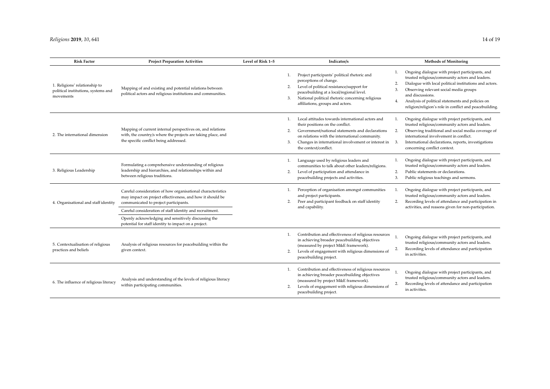| <b>Risk Factor</b>                                                                | <b>Project Preparation Activities</b>                                                                                                                                | Level of Risk 1-5 | Indicator/s                                                                                                                                                                                                                                                               | <b>Methods of Monitoring</b>                                                                                                                                                                                                                                                                                                                                |
|-----------------------------------------------------------------------------------|----------------------------------------------------------------------------------------------------------------------------------------------------------------------|-------------------|---------------------------------------------------------------------------------------------------------------------------------------------------------------------------------------------------------------------------------------------------------------------------|-------------------------------------------------------------------------------------------------------------------------------------------------------------------------------------------------------------------------------------------------------------------------------------------------------------------------------------------------------------|
| 1. Religions' relationship to<br>political institutions, systems and<br>movements | Mapping of and existing and potential relations between<br>political actors and religious institutions and communities.                                              | 1.<br>2.<br>3.    | Project participants' political rhetoric and<br>perceptions of change.<br>Level of political resistance/support for<br>peacebuilding at a local/regional level.<br>National political rhetoric concerning religious<br>affiliations, groups and actors.                   | Ongoing dialogue with project participants, and<br>trusted religious/community actors and leaders.<br>Dialogue with local political institutions and actors.<br>2.<br>Observing relevant social media groups<br>3.<br>and discussions.<br>Analysis of political statements and policies on<br>4.<br>religion/religion's role in conflict and peacebuilding. |
| 2. The international dimension                                                    | Mapping of current internal perspectives on, and relations<br>with, the country/s where the projects are taking place, and<br>the specific conflict being addressed. | 2.<br>3.          | Local attitudes towards international actors and<br>their positions on the conflict.<br>Government/national statements and declarations<br>on relations with the international community.<br>Changes in international involvement or interest in<br>the context/conflict. | Ongoing dialogue with project participants, and<br>trusted religious/community actors and leaders.<br>Observing traditional and social media coverage of<br>2.<br>international involvement in conflict.<br>International declarations, reports, investigations<br>-3.<br>concerning conflict context.                                                      |
| 3. Religious Leadership                                                           | Formulating a comprehensive understanding of religious<br>leadership and hierarchies, and relationships within and<br>between religious traditions.                  | 1.<br>2.          | Language used by religious leaders and<br>communities to talk about other leaders/religions.<br>Level of participation and attendance in<br>peacebuilding projects and activities.                                                                                        | Ongoing dialogue with project participants, and<br>1.<br>trusted religious/community actors and leaders.<br>Public statements or declarations.<br>2.<br>Public religious teachings and sermons.<br>3.                                                                                                                                                       |
| 4. Organisational and staff identity                                              | Careful consideration of how organisational characteristics<br>may impact on project effectiveness, and how it should be<br>communicated to project participants.    | 2.                | Perception of organisation amongst communities<br>and project participants.<br>Peer and participant feedback on staff identity                                                                                                                                            | Ongoing dialogue with project participants, and<br>trusted religious/community actors and leaders.<br>Recording levels of attendance and participation in<br>2.                                                                                                                                                                                             |
|                                                                                   | Careful consideration of staff identity and recruitment.                                                                                                             |                   | and capability.                                                                                                                                                                                                                                                           | activities, and reasons given for non-participation.                                                                                                                                                                                                                                                                                                        |
|                                                                                   | Openly acknowledging and sensitively discussing the<br>potential for staff identity to impact on a project.                                                          |                   |                                                                                                                                                                                                                                                                           |                                                                                                                                                                                                                                                                                                                                                             |
| 5. Contextualisation of religious<br>practices and beliefs                        | Analysis of religious resources for peacebuilding within the<br>given context.                                                                                       | 2.                | Contribution and effectiveness of religious resources<br>in achieving broader peacebuilding objectives<br>(measured by project M&E framework).<br>Levels of engagement with religious dimensions of<br>peacebuilding project.                                             | Ongoing dialogue with project participants, and<br>1.<br>trusted religious/community actors and leaders.<br>Recording levels of attendance and participation<br>2.<br>in activities.                                                                                                                                                                        |
| 6. The influence of religious literacy                                            | Analysis and understanding of the levels of religious literacy<br>within participating communities.                                                                  | 1.<br>2.          | Contribution and effectiveness of religious resources<br>in achieving broader peacebuilding objectives<br>(measured by project M&E framework).<br>Levels of engagement with religious dimensions of<br>peacebuilding project.                                             | Ongoing dialogue with project participants, and<br>trusted religious/community actors and leaders.<br>Recording levels of attendance and participation<br>in activities.                                                                                                                                                                                    |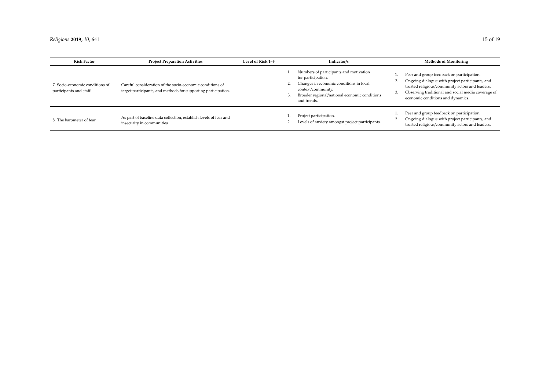| <b>Risk Factor</b>                                         | <b>Project Preparation Activities</b>                                                                                       | Level of Risk 1-5 | Indicator/s                                                                                                                                                                                   | <b>Methods of Monitoring</b>                                                                                                                                                                                                                     |
|------------------------------------------------------------|-----------------------------------------------------------------------------------------------------------------------------|-------------------|-----------------------------------------------------------------------------------------------------------------------------------------------------------------------------------------------|--------------------------------------------------------------------------------------------------------------------------------------------------------------------------------------------------------------------------------------------------|
| 7. Socio-economic conditions of<br>participants and staff. | Careful consideration of the socio-economic conditions of<br>target participants, and methods for supporting participation. |                   | Numbers of participants and motivation<br>for participation.<br>Changes in economic conditions in local<br>context/community.<br>Broader regional/national economic conditions<br>and trends. | Peer and group feedback on participation.<br>Ongoing dialogue with project participants, and<br>z.<br>trusted religious/community actors and leaders.<br>Observing traditional and social media coverage of<br>economic conditions and dynamics. |
| 8. The barometer of fear                                   | As part of baseline data collection, establish levels of fear and<br>insecurity in communities.                             |                   | Project participation.<br>Levels of anxiety amongst project participants.                                                                                                                     | Peer and group feedback on participation.<br>Ongoing dialogue with project participants, and<br><b>4.</b><br>trusted religious/community actors and leaders.                                                                                     |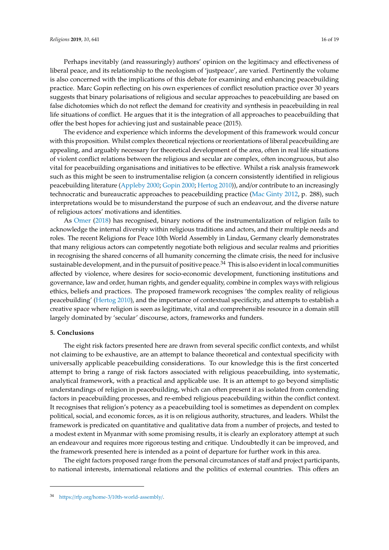Perhaps inevitably (and reassuringly) authors' opinion on the legitimacy and effectiveness of liberal peace, and its relationship to the neologism of 'justpeace', are varied. Pertinently the volume is also concerned with the implications of this debate for examining and enhancing peacebuilding practice. Marc Gopin reflecting on his own experiences of conflict resolution practice over 30 years suggests that binary polarisations of religious and secular approaches to peacebuilding are based on false dichotomies which do not reflect the demand for creativity and synthesis in peacebuilding in real life situations of conflict. He argues that it is the integration of all approaches to peacebuilding that offer the best hopes for achieving just and sustainable peace (2015).

The evidence and experience which informs the development of this framework would concur with this proposition. Whilst complex theoretical rejections or reorientations of liberal peacebuilding are appealing, and arguably necessary for theoretical development of the area, often in real life situations of violent conflict relations between the religious and secular are complex, often incongruous, but also vital for peacebuilding organisations and initiatives to be effective. Whilst a risk analysis framework such as this might be seen to instrumentalise religion (a concern consistently identified in religious peacebuilding literature [\(Appleby](#page-16-1) [2000;](#page-16-1) [Gopin](#page-17-2) [2000;](#page-17-2) [Hertog](#page-17-3) [2010\)](#page-17-3)), and/or contribute to an increasingly technocratic and bureaucratic approaches to peacebuilding practice [\(Mac Ginty](#page-17-4) [2012,](#page-17-4) p. 288), such interpretations would be to misunderstand the purpose of such an endeavour, and the diverse nature of religious actors' motivations and identities.

As [Omer](#page-18-18) [\(2018\)](#page-18-18) has recognised, binary notions of the instrumentalization of religion fails to acknowledge the internal diversity within religious traditions and actors, and their multiple needs and roles. The recent Religions for Peace 10th World Assembly in Lindau, Germany clearly demonstrates that many religious actors can competently negotiate both religious and secular realms and priorities in recognising the shared concerns of all humanity concerning the climate crisis, the need for inclusive sustainable development, and in the pursuit of positive peace. $34$  This is also evident in local communities affected by violence, where desires for socio-economic development, functioning institutions and governance, law and order, human rights, and gender equality, combine in complex ways with religious ethics, beliefs and practices. The proposed framework recognises 'the complex reality of religious peacebuilding' [\(Hertog](#page-17-3) [2010\)](#page-17-3), and the importance of contextual specificity, and attempts to establish a creative space where religion is seen as legitimate, vital and comprehensible resource in a domain still largely dominated by 'secular' discourse, actors, frameworks and funders.

#### **5. Conclusions**

The eight risk factors presented here are drawn from several specific conflict contexts, and whilst not claiming to be exhaustive, are an attempt to balance theoretical and contextual specificity with universally applicable peacebuilding considerations. To our knowledge this is the first concerted attempt to bring a range of risk factors associated with religious peacebuilding, into systematic, analytical framework, with a practical and applicable use. It is an attempt to go beyond simplistic understandings of religion in peacebuilding, which can often present it as isolated from contending factors in peacebuilding processes, and re-embed religious peacebuilding within the conflict context. It recognises that religion's potency as a peacebuilding tool is sometimes as dependent on complex political, social, and economic forces, as it is on religious authority, structures, and leaders. Whilst the framework is predicated on quantitative and qualitative data from a number of projects, and tested to a modest extent in Myanmar with some promising results, it is clearly an exploratory attempt at such an endeavour and requires more rigorous testing and critique. Undoubtedly it can be improved, and the framework presented here is intended as a point of departure for further work in this area.

The eight factors proposed range from the personal circumstances of staff and project participants, to national interests, international relations and the politics of external countries. This offers an

<sup>34</sup> https://rfp.org/home-3/[10th-world-assembly](https://rfp.org/home-3/10th-world-assembly/)/.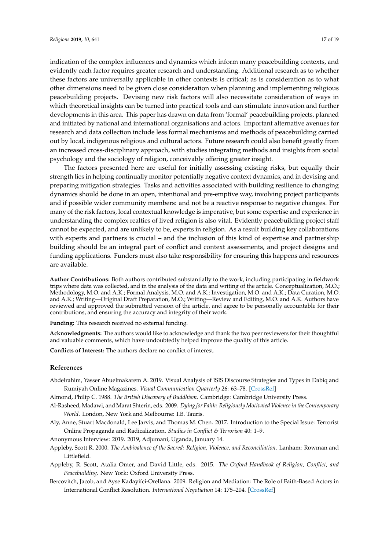indication of the complex influences and dynamics which inform many peacebuilding contexts, and evidently each factor requires greater research and understanding. Additional research as to whether these factors are universally applicable in other contexts is critical; as is consideration as to what other dimensions need to be given close consideration when planning and implementing religious peacebuilding projects. Devising new risk factors will also necessitate consideration of ways in which theoretical insights can be turned into practical tools and can stimulate innovation and further developments in this area. This paper has drawn on data from 'formal' peacebuilding projects, planned and initiated by national and international organisations and actors. Important alternative avenues for research and data collection include less formal mechanisms and methods of peacebuilding carried out by local, indigenous religious and cultural actors. Future research could also benefit greatly from an increased cross-disciplinary approach, with studies integrating methods and insights from social psychology and the sociology of religion, conceivably offering greater insight.

The factors presented here are useful for initially assessing existing risks, but equally their strength lies in helping continually monitor potentially negative context dynamics, and in devising and preparing mitigation strategies. Tasks and activities associated with building resilience to changing dynamics should be done in an open, intentional and pre-emptive way, involving project participants and if possible wider community members: and not be a reactive response to negative changes. For many of the risk factors, local contextual knowledge is imperative, but some expertise and experience in understanding the complex realties of lived religion is also vital. Evidently peacebuilding project staff cannot be expected, and are unlikely to be, experts in religion. As a result building key collaborations with experts and partners is crucial – and the inclusion of this kind of expertise and partnership building should be an integral part of conflict and context assessments, and project designs and funding applications. Funders must also take responsibility for ensuring this happens and resources are available.

**Author Contributions:** Both authors contributed substantially to the work, including participating in fieldwork trips where data was collected, and in the analysis of the data and writing of the article. Conceptualization, M.O.; Methodology, M.O. and A.K.; Formal Analysis, M.O. and A.K.; Investigation, M.O. and A.K.; Data Curation, M.O. and A.K.; Writing—Original Draft Preparation, M.O.; Writing—Review and Editing, M.O. and A.K. Authors have reviewed and approved the submitted version of the article, and agree to be personally accountable for their contributions, and ensuring the accuracy and integrity of their work.

**Funding:** This research received no external funding.

**Acknowledgments:** The authors would like to acknowledge and thank the two peer reviewers for their thoughtful and valuable comments, which have undoubtedly helped improve the quality of this article.

**Conflicts of Interest:** The authors declare no conflict of interest.

#### **References**

<span id="page-16-4"></span>Abdelrahim, Yasser Abuelmakarem A. 2019. Visual Analysis of ISIS Discourse Strategies and Types in Dabiq and Rumiyah Online Magazines. *Visual Communication Quarterly* 26: 63–78. [\[CrossRef\]](http://dx.doi.org/10.1080/15551393.2019.1586546)

<span id="page-16-6"></span>Almond, Philip C. 1988. *The British Discovery of Buddhism*. Cambridge: Cambridge University Press.

- <span id="page-16-2"></span>Al-Rasheed, Madawi, and Marat Shterin, eds. 2009. *Dying for Faith: Religiously Motivated Violence in the Contemporary World*. London, New York and Melbourne: I.B. Tauris.
- <span id="page-16-3"></span>Aly, Anne, Stuart Macdonald, Lee Jarvis, and Thomas M. Chen. 2017. Introduction to the Special Issue: Terrorist Online Propaganda and Radicalization. *Studies in Conflict & Terrorism* 40: 1–9.
- <span id="page-16-7"></span><span id="page-16-1"></span>Anonymous Interview: 2019. 2019, Adjumani, Uganda, January 14.
- Appleby, Scott R. 2000. *The Ambivalence of the Sacred: Religion, Violence, and Reconciliation*. Lanham: Rowman and Littlefield.
- <span id="page-16-0"></span>Appleby, R. Scott, Atalia Omer, and David Little, eds. 2015. *The Oxford Handbook of Religion, Conflict, and Peacebuilding*. New York: Oxford University Press.
- <span id="page-16-5"></span>Bercovitch, Jacob, and Ayse Kadayifci-Orellana. 2009. Religion and Mediation: The Role of Faith-Based Actors in International Conflict Resolution. *International Negotiation* 14: 175–204. [\[CrossRef\]](http://dx.doi.org/10.1163/157180609X406562)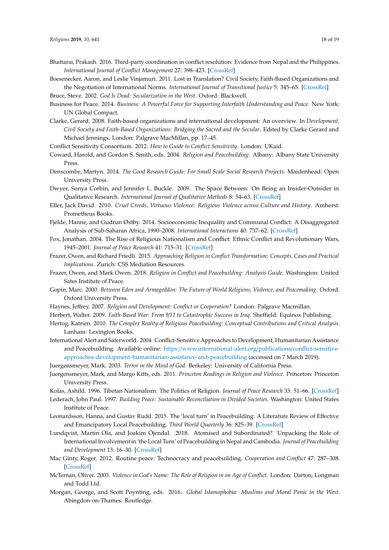- <span id="page-17-15"></span>Bhattarai, Prakash. 2016. Third-party coordination in conflict resolution: Evidence from Nepal and the Philippines. *International Journal of Conflict Management* 27: 398–423. [\[CrossRef\]](http://dx.doi.org/10.1108/IJCMA-08-2014-0066)
- <span id="page-17-20"></span>Boesenecker, Aaron, and Leslie Vinjamuri. 2011. Lost in Translation? Civil Society, Faith-Based Organizations and the Negotiation of International Norms. *International Journal of Transitional Justice* 5: 345–65. [\[CrossRef\]](http://dx.doi.org/10.1093/ijtj/ijr018)

<span id="page-17-7"></span>Bruce, Steve. 2002. *God Is Dead: Secularization in the West*. Oxford: Blackwell.

- <span id="page-17-27"></span>Business for Peace. 2014. *Business: A Powerful Force for Supporting Interfaith Understanding and Peace*. New York: UN Global Compact.
- <span id="page-17-23"></span>Clarke, Gerard. 2008. Faith-based organizations and international development: An overview. In *Development, Civil Society and Faith-Based Organizations: Bridging the Sacred and the Secular*. Edited by Clarke Gerard and Michael Jennings. London: Palgrave MacMillan, pp. 17–45.
- <span id="page-17-0"></span>Conflict Sensitivity Consortium. 2012. *How to Guide to Conflict Sensitivity*. London: UKaid.
- <span id="page-17-5"></span>Coward, Harold, and Gordon S. Smith, eds. 2004. *Religion and Peacebuilding*. Albany: Albany State University Press.
- <span id="page-17-6"></span>Denscombe, Martyn. 2014. *The Good Research Guide: For Small Scale Social Research Projects*. Maidenhead: Open University Press.
- <span id="page-17-21"></span>Dwyer, Sonya Corbin, and Jennifer L. Buckle. 2009. The Space Between: On Being an Insider-Outsider in Qualitative Research. *International Journal of Qualitative Methods* 8: 54–63. [\[CrossRef\]](http://dx.doi.org/10.1177/160940690900800105)
- <span id="page-17-12"></span>Eller, Jack David. 2010. *Cruel Creeds, Virtuous Violence: Religious Violence across Culture and History*. Amherst: Prometheus Books.
- <span id="page-17-26"></span>Fjelde, Hanne, and Gudrun Østby. 2014. Socioeconomic Inequality and Communal Conflict: A Disaggregated Analysis of Sub-Saharan Africa, 1990–2008. *International Interactions* 40: 737–62. [\[CrossRef\]](http://dx.doi.org/10.1080/03050629.2014.917373)
- <span id="page-17-10"></span>Fox, Jonathan. 2004. The Rise of Religious Nationalism and Conflict: Ethnic Conflict and Revolutionary Wars, 1945–2001. *Journal of Peace Research* 41: 715–31. [\[CrossRef\]](http://dx.doi.org/10.1177/0022343304047434)
- <span id="page-17-22"></span>Frazer, Owen, and Richard Friedli. 2015. *Approaching Religion in Conflict Transformation: Concepts, Cases and Practical Implications*. Zurich: CSS Mediation Resources.
- <span id="page-17-19"></span>Frazer, Owen, and Mark Owen. 2018. *Religion in Conflict and Peacebuilding: Analysis Guide*. Washington: United Sates Institute of Peace.
- <span id="page-17-2"></span>Gopin, Marc. 2000. *Between Eden and Armageddon: The Future of World Religions, Violence, and Peacemaking*. Oxford: Oxford University Press.
- <span id="page-17-24"></span>Haynes, Jeffrey. 2007. *Religion and Development: Conflict or Cooperation?* London: Palgrave Macmillan.
- <span id="page-17-11"></span>Herbert, Walter. 2009. *Faith-Based War: From 9*/*11 to Catastrophic Success in Iraq*. Sheffield: Equinox Publishing.
- <span id="page-17-3"></span>Hertog, Katrien. 2010. *The Complex Reality of Religious Peacebuilding: Conceptual Contributions and Critical Analysis*. Lanham: Lexington Books.
- <span id="page-17-1"></span>International Alert and Saferworld. 2004. Conflict-Sensitive Approaches to Development, Humanitarian Assistance and Peacebuilding. Available online: https://[www.international-alert.org](https://www.international-alert.org/publications/conflict-sensitive-approaches-development-humanitarian-assistance-and-peacebuilding)/publications/conflict-sensitive[approaches-development-humanitarian-assistance-and-peacebuilding](https://www.international-alert.org/publications/conflict-sensitive-approaches-development-humanitarian-assistance-and-peacebuilding) (accessed on 7 March 2019).
- <span id="page-17-9"></span>Juergensmeyer, Mark. 2003. *Terror in the Mind of God*. Berkeley: University of California Press.
- <span id="page-17-13"></span>Juergensmeyer, Mark, and Margo Kitts, eds. 2011. *Princeton Readings in Religion and Violence*. Princeton: Princeton University Press.
- <span id="page-17-14"></span>Kolas, Ashild. 1996. Tibetan Nationalism: The Politics of Religion. *Journal of Peace Research* 33: 51–66. [\[CrossRef\]](http://dx.doi.org/10.1177/0022343396033001004)
- <span id="page-17-18"></span>Lederach, John Paul. 1997. *Building Peace: Sustainable Reconciliation in Divided Societies*. Washington: United States Institute of Peace.
- <span id="page-17-25"></span>Leonardsson, Hanna, and Gustav Rudd. 2015. The 'local turn' in Peacebuilding: A Literature Review of Effective and Emancipatory Local Peacebuilding. *Third World Quarterly* 36: 825–39. [\[CrossRef\]](http://dx.doi.org/10.1080/01436597.2015.1029905)
- <span id="page-17-16"></span>Lundqvist, Martin Ola, and Joakim Öjendal. 2018. Atomised and Subordinated? Unpacking the Role of International Involvement in 'the Local Turn' of Peacebuilding in Nepal and Cambodia. *Journal of Peacebuilding and Development* 13: 16–30. [\[CrossRef\]](http://dx.doi.org/10.1080/15423166.2018.1470023)
- <span id="page-17-4"></span>Mac Ginty, Roger. 2012. Routine peace: Technocracy and peacebuilding. *Cooperation and Conflict* 47: 287–308. [\[CrossRef\]](http://dx.doi.org/10.1177/0010836712444825)
- <span id="page-17-8"></span>McTernan, Oliver. 2003. *Violence in God's Name: The Role of Religion in an Age of Conflict*. London: Darton, Longman and Todd Ltd.
- <span id="page-17-17"></span>Morgan, George, and Scott Poynting, eds. 2016. *Global Islamophobia: Muslims and Moral Panic in the West*. Abingdon-on-Thames: Routledge.